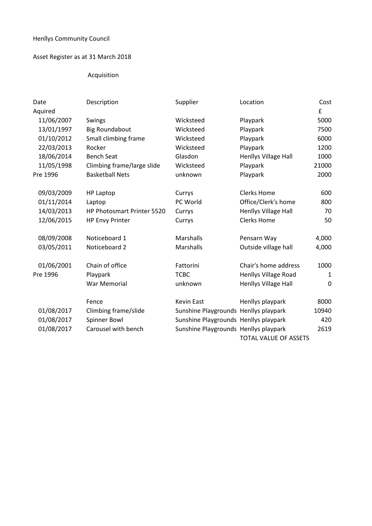## Henllys Community Council

## Asset Register as at 31 March 2018

## Acquisition

| Date       | Description                | Supplier                              | Location                     | Cost  |
|------------|----------------------------|---------------------------------------|------------------------------|-------|
| Aquired    |                            |                                       |                              | £     |
| 11/06/2007 | Swings                     | Wicksteed                             | Playpark                     | 5000  |
| 13/01/1997 | <b>Big Roundabout</b>      | Wicksteed                             | Playpark                     | 7500  |
| 01/10/2012 | Small climbing frame       | Wicksteed                             | Playpark                     | 6000  |
| 22/03/2013 | Rocker                     | Wicksteed                             | Playpark                     | 1200  |
| 18/06/2014 | <b>Bench Seat</b>          | Glasdon                               | Henllys Village Hall         | 1000  |
| 11/05/1998 | Climbing frame/large slide | Wicksteed                             | Playpark                     | 21000 |
| Pre 1996   | <b>Basketball Nets</b>     | unknown                               | Playpark                     | 2000  |
|            |                            |                                       |                              |       |
| 09/03/2009 | <b>HP Laptop</b>           | Currys                                | <b>Clerks Home</b>           | 600   |
| 01/11/2014 | Laptop                     | PC World                              | Office/Clerk's home          | 800   |
| 14/03/2013 | HP Photosmart Printer 5520 | Currys                                | Henllys Village Hall         | 70    |
| 12/06/2015 | <b>HP Envy Printer</b>     | Currys                                | <b>Clerks Home</b>           | 50    |
| 08/09/2008 | Noticeboard 1              | <b>Marshalls</b>                      | Pensarn Way                  | 4,000 |
| 03/05/2011 | Noticeboard 2              | Marshalls                             | Outside village hall         | 4,000 |
| 01/06/2001 | Chain of office            | Fattorini                             | Chair's home address         | 1000  |
| Pre 1996   | Playpark                   | <b>TCBC</b>                           |                              | 1     |
|            |                            |                                       | Henllys Village Road         |       |
|            | War Memorial               | unknown                               | Henllys Village Hall         | 0     |
|            | Fence                      | Kevin East                            | Henllys playpark             | 8000  |
| 01/08/2017 | Climbing frame/slide       | Sunshine Playgrounds Henllys playpark |                              | 10940 |
| 01/08/2017 | Spinner Bowl               | Sunshine Playgrounds Henllys playpark |                              | 420   |
| 01/08/2017 | Carousel with bench        | Sunshine Playgrounds Henllys playpark |                              | 2619  |
|            |                            |                                       | <b>TOTAL VALUE OF ASSETS</b> |       |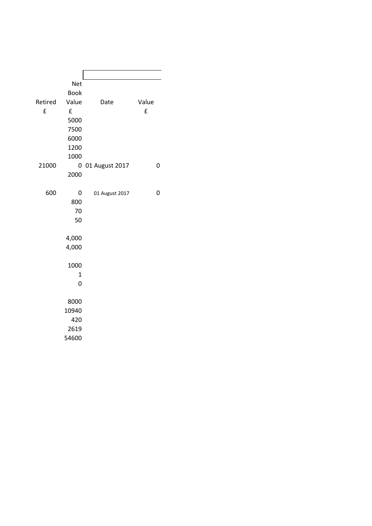|         | <b>Net</b>  |                |       |
|---------|-------------|----------------|-------|
|         | <b>Book</b> |                |       |
| Retired | Value       | Date           | Value |
| £       | £           |                | £     |
|         | 5000        |                |       |
|         | 7500        |                |       |
|         | 6000        |                |       |
|         | 1200        |                |       |
|         | 1000        |                |       |
| 21000   | 0           | 01 August 2017 | 0     |
|         | 2000        |                |       |
|         |             |                |       |
| 600     | 0           | 01 August 2017 | 0     |
|         | 800         |                |       |
|         | 70          |                |       |
|         | 50          |                |       |
|         |             |                |       |
|         | 4,000       |                |       |
|         | 4,000       |                |       |
|         | 1000        |                |       |
|         | $\mathbf 1$ |                |       |
|         | 0           |                |       |
|         |             |                |       |
|         | 8000        |                |       |
|         | 10940       |                |       |
|         | 420         |                |       |
|         | 2619        |                |       |
|         | 54600       |                |       |
|         |             |                |       |